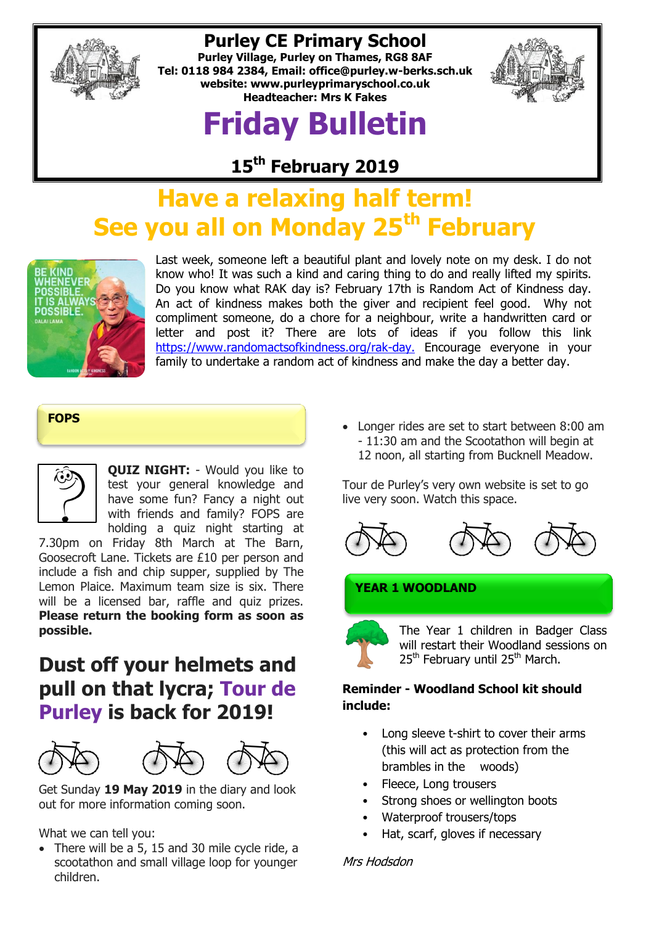

## **Purley CE Primary School**

**Purley Village, Purley on Thames, RG8 8AF Tel: 0118 984 2384, Email: [office@purley.w-berks.sch.uk](mailto:office@purley.w-berks.sch.uk) website: www.purleyprimaryschool.co.uk Headteacher: Mrs K Fakes**

# **Friday Bulletin**



**15th February 2019**

# **Have a relaxing half term! See you all on Monday 25th February**



Last week, someone left a beautiful plant and lovely note on my desk. I do not know who! It was such a kind and caring thing to do and really lifted my spirits. Do you know what RAK day is? February 17th is Random Act of Kindness day. An act of kindness makes both the giver and recipient feel good. Why not compliment someone, do a chore for a neighbour, write a handwritten card or letter and post it? There are lots of ideas if you follow this link [https://www.randomactsofkindness.org/rak-day.](https://www.randomactsofkindness.org/rak-day) Encourage everyone in your family to undertake a random act of kindness and make the day a better day.

#### **FOPS**



**QUIZ NIGHT:** - Would you like to test your general knowledge and have some fun? Fancy a night out with friends and family? FOPS are holding a quiz night starting at

7.30pm on Friday 8th March at The Barn, Goosecroft Lane. Tickets are £10 per person and include a fish and chip supper, supplied by The Lemon Plaice. Maximum team size is six. There will be a licensed bar, raffle and quiz prizes. **Please return the booking form as soon as possible.**

## **Dust off your helmets and pull on that lycra; Tour de Purley is back for 2019!**



Get Sunday **19 May 2019** in the diary and look out for more information coming soon.

What we can tell you:

• There will be a 5, 15 and 30 mile cycle ride, a scootathon and small village loop for younger children.

 Longer rides are set to start between 8:00 am - 11:30 am and the Scootathon will begin at 12 noon, all starting from Bucknell Meadow.

Tour de Purley's very own website is set to go live very soon. Watch this space.



#### **YEAR 1 WOODLAND**



The Year 1 children in Badger Class will restart their Woodland sessions on 25<sup>th</sup> February until 25<sup>th</sup> March.

#### **Reminder - Woodland School kit should include:**

- Long sleeve t-shirt to cover their arms (this will act as protection from the brambles in the woods)
- Fleece, Long trousers
- Strong shoes or wellington boots
- Waterproof trousers/tops
- Hat, scarf, gloves if necessary

#### Mrs Hodsdon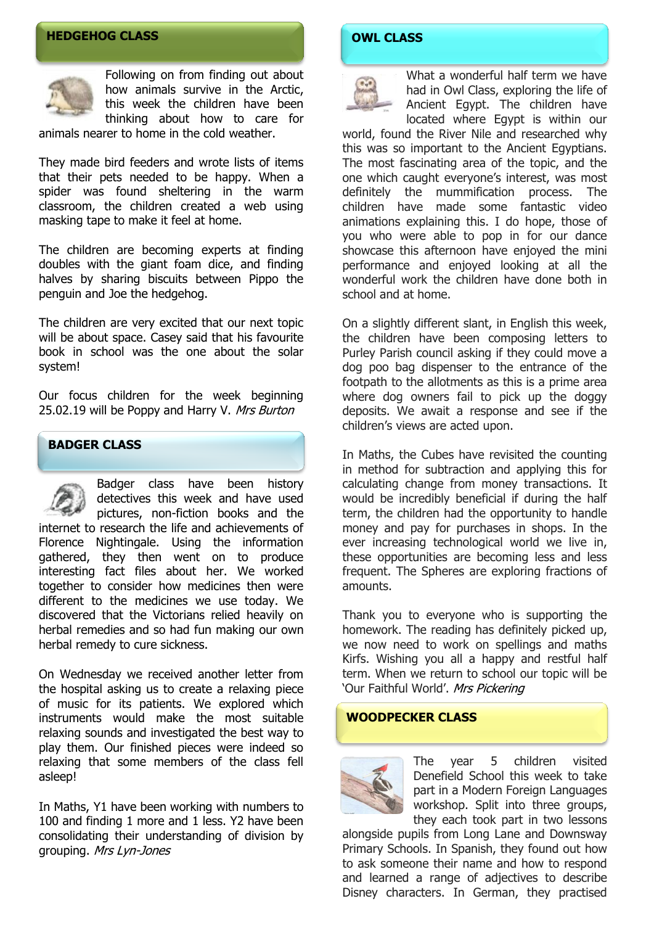#### **HEDGEHOG CLASS**



Following on from finding out about how animals survive in the Arctic, this week the children have been thinking about how to care for

animals nearer to home in the cold weather.

They made bird feeders and wrote lists of items that their pets needed to be happy. When a spider was found sheltering in the warm classroom, the children created a web using masking tape to make it feel at home.

The children are becoming experts at finding doubles with the giant foam dice, and finding halves by sharing biscuits between Pippo the penguin and Joe the hedgehog.

The children are very excited that our next topic will be about space. Casey said that his favourite book in school was the one about the solar system!

Our focus children for the week beginning 25.02.19 will be Poppy and Harry V. Mrs Burton

#### **BADGER CLASS**



Badger class have been history detectives this week and have used

pictures, non-fiction books and the internet to research the life and achievements of Florence Nightingale. Using the information gathered, they then went on to produce interesting fact files about her. We worked together to consider how medicines then were different to the medicines we use today. We discovered that the Victorians relied heavily on herbal remedies and so had fun making our own herbal remedy to cure sickness.

On Wednesday we received another letter from the hospital asking us to create a relaxing piece of music for its patients. We explored which instruments would make the most suitable relaxing sounds and investigated the best way to play them. Our finished pieces were indeed so relaxing that some members of the class fell asleep!

In Maths, Y1 have been working with numbers to 100 and finding 1 more and 1 less. Y2 have been consolidating their understanding of division by grouping. Mrs Lyn-Jones

#### **OWL CLASS**

What a wonderful half term we have had in Owl Class, exploring the life of Ancient Egypt. The children have located where Egypt is within our

world, found the River Nile and researched why this was so important to the Ancient Egyptians. The most fascinating area of the topic, and the one which caught everyone's interest, was most definitely the mummification process. The children have made some fantastic video animations explaining this. I do hope, those of you who were able to pop in for our dance showcase this afternoon have enjoyed the mini performance and enjoyed looking at all the wonderful work the children have done both in school and at home.

On a slightly different slant, in English this week, the children have been composing letters to Purley Parish council asking if they could move a dog poo bag dispenser to the entrance of the footpath to the allotments as this is a prime area where dog owners fail to pick up the doggy deposits. We await a response and see if the children's views are acted upon.

In Maths, the Cubes have revisited the counting in method for subtraction and applying this for calculating change from money transactions. It would be incredibly beneficial if during the half term, the children had the opportunity to handle money and pay for purchases in shops. In the ever increasing technological world we live in, these opportunities are becoming less and less frequent. The Spheres are exploring fractions of amounts.

Thank you to everyone who is supporting the homework. The reading has definitely picked up, we now need to work on spellings and maths Kirfs. Wishing you all a happy and restful half term. When we return to school our topic will be 'Our Faithful World'. Mrs Pickering

#### **WOODPECKER CLASS**



The year 5 children visited Denefield School this week to take part in a Modern Foreign Languages workshop. Split into three groups, they each took part in two lessons

alongside pupils from Long Lane and Downsway Primary Schools. In Spanish, they found out how to ask someone their name and how to respond and learned a range of adjectives to describe Disney characters. In German, they practised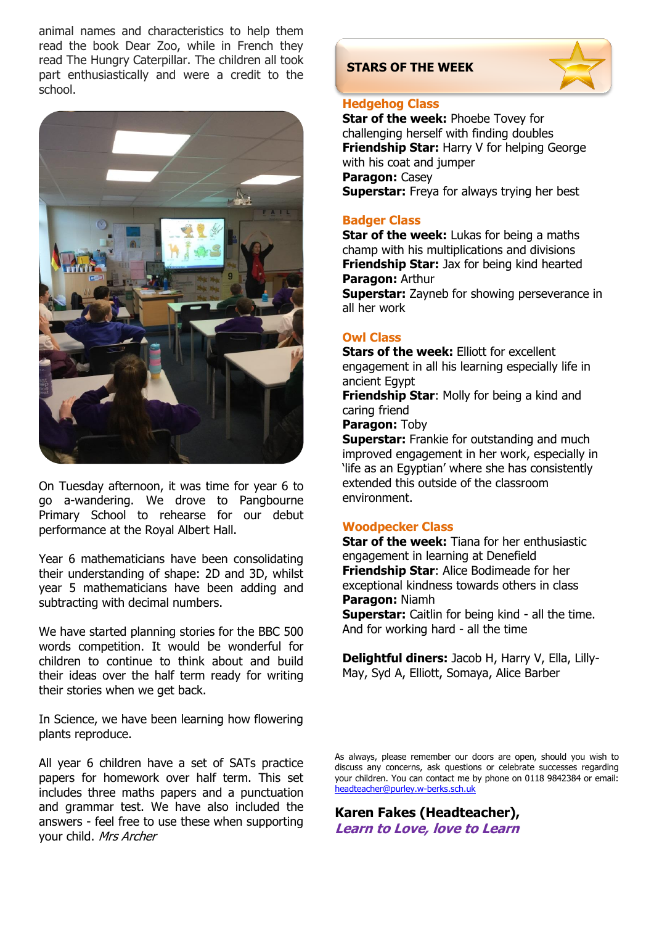animal names and characteristics to help them read the book Dear Zoo, while in French they read The Hungry Caterpillar. The children all took part enthusiastically and were a credit to the school.



On Tuesday afternoon, it was time for year 6 to go a-wandering. We drove to Pangbourne Primary School to rehearse for our debut performance at the Royal Albert Hall.

Year 6 mathematicians have been consolidating their understanding of shape: 2D and 3D, whilst year 5 mathematicians have been adding and subtracting with decimal numbers.

We have started planning stories for the BBC 500 words competition. It would be wonderful for children to continue to think about and build their ideas over the half term ready for writing their stories when we get back.

In Science, we have been learning how flowering plants reproduce.

All year 6 children have a set of SATs practice papers for homework over half term. This set includes three maths papers and a punctuation and grammar test. We have also included the answers - feel free to use these when supporting your child. Mrs Archer

#### **STARS OF THE WEEK**



#### **Hedgehog Class**

**Star of the week: Phoebe Tovey for** challenging herself with finding doubles **Friendship Star:** Harry V for helping George with his coat and jumper **Paragon:** Casey **Superstar:** Freya for always trying her best

#### **Badger Class**

**Star of the week:** Lukas for being a maths champ with his multiplications and divisions **Friendship Star:** Jax for being kind hearted **Paragon:** Arthur

**Superstar:** Zayneb for showing perseverance in all her work

#### **Owl Class**

**Stars of the week:** Elliott for excellent engagement in all his learning especially life in ancient Egypt

**Friendship Star**: Molly for being a kind and caring friend

**Paragon:** Toby

**Superstar:** Frankie for outstanding and much improved engagement in her work, especially in 'life as an Egyptian' where she has consistently extended this outside of the classroom environment.

#### **Woodpecker Class**

**Star of the week:** Tiana for her enthusiastic engagement in learning at Denefield **Friendship Star**: Alice Bodimeade for her exceptional kindness towards others in class **Paragon:** Niamh

**Superstar:** Caitlin for being kind - all the time. And for working hard - all the time

**Delightful diners:** Jacob H, Harry V, Ella, Lilly-May, Syd A, Elliott, Somaya, Alice Barber

As always, please remember our doors are open, should you wish to discuss any concerns, ask questions or celebrate successes regarding your children. You can contact me by phone on 0118 9842384 or email: [headteacher@purley.w-berks.sch.uk](mailto:headteacher@purley.w-berks.sch.uk)

**Karen Fakes (Headteacher), Learn to Love, love to Learn**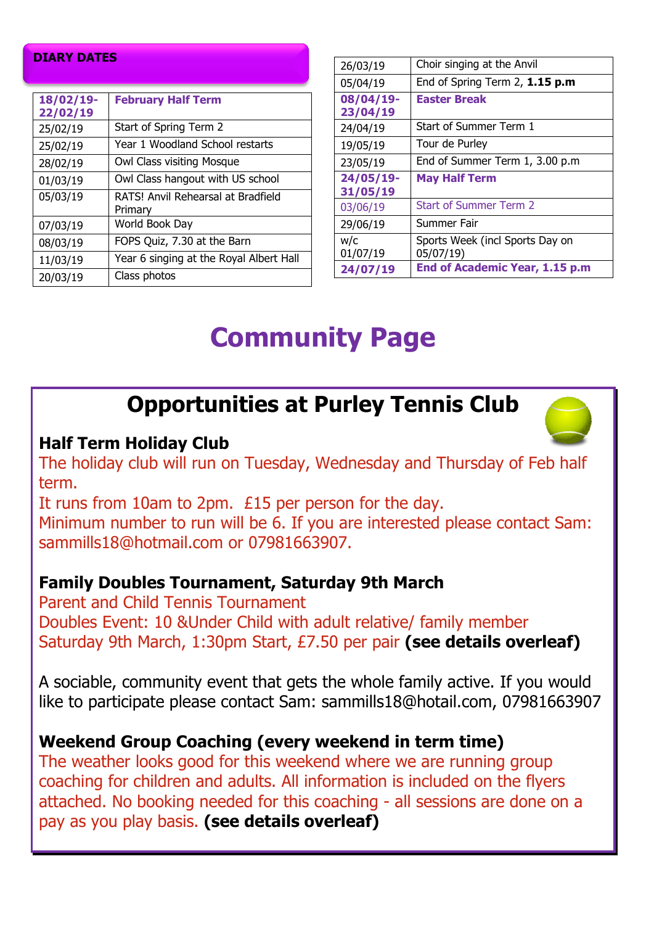#### **DIARY DATES**

| 18/02/19-<br>22/02/19 | <b>February Half Term</b>                     |
|-----------------------|-----------------------------------------------|
| 25/02/19              | Start of Spring Term 2                        |
| 25/02/19              | Year 1 Woodland School restarts               |
| 28/02/19              | Owl Class visiting Mosque                     |
| 01/03/19              | Owl Class hangout with US school              |
| 05/03/19              | RATS! Anvil Rehearsal at Bradfield<br>Primary |
| 07/03/19              | World Book Day                                |
| 08/03/19              | FOPS Quiz, 7.30 at the Barn                   |
| 11/03/19              | Year 6 singing at the Royal Albert Hall       |
| 20/03/19              | Class photos                                  |

| 26/03/19              | Choir singing at the Anvil                                                     |
|-----------------------|--------------------------------------------------------------------------------|
| 05/04/19              | End of Spring Term 2, 1.15 p.m                                                 |
| 08/04/19-<br>23/04/19 | <b>Easter Break</b>                                                            |
| 24/04/19              | Start of Summer Term 1                                                         |
| 19/05/19              | Tour de Purley                                                                 |
| 23/05/19              | End of Summer Term 1, 3.00 p.m                                                 |
| 24/05/19-<br>31/05/19 | <b>May Half Term</b>                                                           |
|                       |                                                                                |
| 03/06/19              | <b>Start of Summer Term 2</b>                                                  |
| 29/06/19              | Summer Fair                                                                    |
| w/c<br>01/07/19       | Sports Week (incl Sports Day on<br>05/07/19)<br>End of Academic Year, 1.15 p.m |

# **Community Page**

## **Opportunities at Purley Tennis Club**

### **Half Term Holiday Club**

The holiday club will run on Tuesday, Wednesday and Thursday of Feb half term.

It runs from 10am to 2pm. £15 per person for the day.

Minimum number to run will be 6. If you are interested please contact Sam: sammills18@hotmail.com or 07981663907.

### **Family Doubles Tournament, Saturday 9th March**

Parent and Child Tennis Tournament Doubles Event: 10 &Under Child with adult relative/ family member Saturday 9th March, 1:30pm Start, £7.50 per pair **(see details overleaf)**

A sociable, community event that gets the whole family active. If you would like to participate please contact Sam: sammills18@hotail.com, 07981663907

### **Weekend Group Coaching (every weekend in term time)**

The weather looks good for this weekend where we are running group coaching for children and adults. All information is included on the flyers attached. No booking needed for this coaching - all sessions are done on a pay as you play basis. **(see details overleaf)**